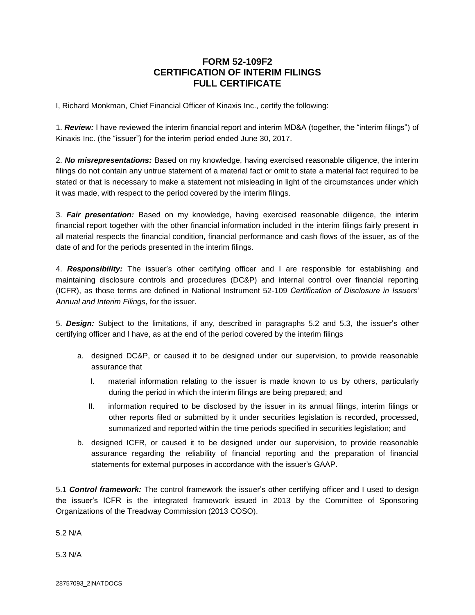## **FORM 52-109F2 CERTIFICATION OF INTERIM FILINGS FULL CERTIFICATE**

I, Richard Monkman, Chief Financial Officer of Kinaxis Inc., certify the following:

1. *Review:* I have reviewed the interim financial report and interim MD&A (together, the "interim filings") of Kinaxis Inc. (the "issuer") for the interim period ended June 30, 2017.

2. *No misrepresentations:* Based on my knowledge, having exercised reasonable diligence, the interim filings do not contain any untrue statement of a material fact or omit to state a material fact required to be stated or that is necessary to make a statement not misleading in light of the circumstances under which it was made, with respect to the period covered by the interim filings.

3. *Fair presentation:* Based on my knowledge, having exercised reasonable diligence, the interim financial report together with the other financial information included in the interim filings fairly present in all material respects the financial condition, financial performance and cash flows of the issuer, as of the date of and for the periods presented in the interim filings.

4. *Responsibility:* The issuer's other certifying officer and I are responsible for establishing and maintaining disclosure controls and procedures (DC&P) and internal control over financial reporting (ICFR), as those terms are defined in National Instrument 52-109 *Certification of Disclosure in Issuers' Annual and Interim Filings*, for the issuer.

5. *Design:* Subject to the limitations, if any, described in paragraphs 5.2 and 5.3, the issuer's other certifying officer and I have, as at the end of the period covered by the interim filings

- a. designed DC&P, or caused it to be designed under our supervision, to provide reasonable assurance that
	- I. material information relating to the issuer is made known to us by others, particularly during the period in which the interim filings are being prepared; and
	- II. information required to be disclosed by the issuer in its annual filings, interim filings or other reports filed or submitted by it under securities legislation is recorded, processed, summarized and reported within the time periods specified in securities legislation; and
- b. designed ICFR, or caused it to be designed under our supervision, to provide reasonable assurance regarding the reliability of financial reporting and the preparation of financial statements for external purposes in accordance with the issuer's GAAP.

5.1 *Control framework:* The control framework the issuer's other certifying officer and I used to design the issuer's ICFR is the integrated framework issued in 2013 by the Committee of Sponsoring Organizations of the Treadway Commission (2013 COSO).

5.2 N/A

5.3 N/A